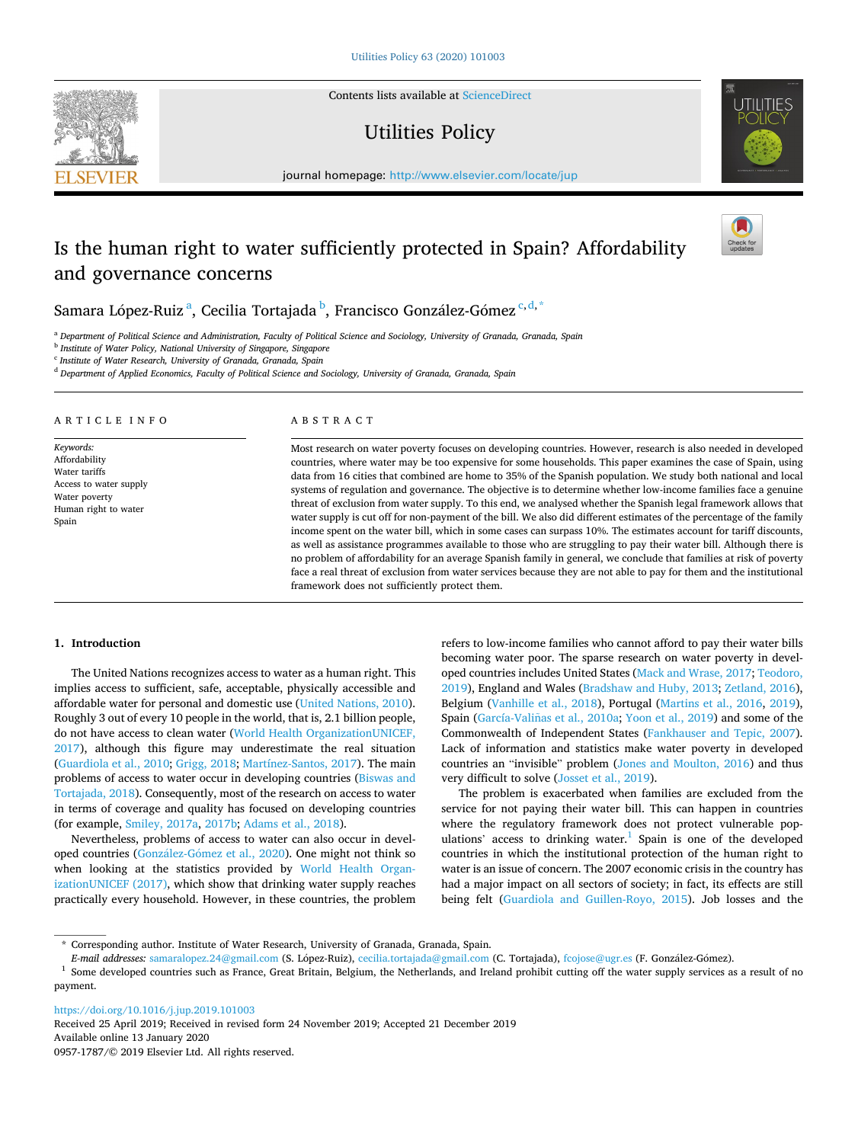Contents lists available at [ScienceDirect](www.sciencedirect.com/science/journal/09571787)

# Utilities Policy

journal homepage: [http://www.elsevier.com/locate/jup](https://http://www.elsevier.com/locate/jup)

# Is the human right to water sufficiently protected in Spain? Affordability and governance concerns

Samara López-Ruiz<sup>a</sup>, Cecilia Tortajada <sup>b</sup>, Francisco González-Gómez <sup>c,d,\*</sup>

<sup>a</sup> *Department of Political Science and Administration, Faculty of Political Science and Sociology, University of Granada, Granada, Spain* 

<sup>b</sup> *Institute of Water Policy, National University of Singapore, Singapore* 

<sup>c</sup> *Institute of Water Research, University of Granada, Granada, Spain* 

<sup>d</sup> *Department of Applied Economics, Faculty of Political Science and Sociology, University of Granada, Granada, Spain* 

# ARTICLE INFO

*Keywords:*  Affordability Water tariffs Access to water supply Water poverty Human right to water Spain

## ABSTRACT

Most research on water poverty focuses on developing countries. However, research is also needed in developed countries, where water may be too expensive for some households. This paper examines the case of Spain, using data from 16 cities that combined are home to 35% of the Spanish population. We study both national and local systems of regulation and governance. The objective is to determine whether low-income families face a genuine threat of exclusion from water supply. To this end, we analysed whether the Spanish legal framework allows that water supply is cut off for non-payment of the bill. We also did different estimates of the percentage of the family income spent on the water bill, which in some cases can surpass 10%. The estimates account for tariff discounts, as well as assistance programmes available to those who are struggling to pay their water bill. Although there is no problem of affordability for an average Spanish family in general, we conclude that families at risk of poverty face a real threat of exclusion from water services because they are not able to pay for them and the institutional framework does not sufficiently protect them.

### **1. Introduction**

The United Nations recognizes access to water as a human right. This implies access to sufficient, safe, acceptable, physically accessible and affordable water for personal and domestic use [\(United Nations, 2010](#page-8-0)). Roughly 3 out of every 10 people in the world, that is, 2.1 billion people, do not have access to clean water [\(World Health OrganizationUNICEF,](#page-8-0)  [2017\)](#page-8-0), although this figure may underestimate the real situation ([Guardiola et al., 2010; Grigg, 2018](#page-8-0); [Martínez-Santos, 2017\)](#page-8-0). The main problems of access to water occur in developing countries [\(Biswas and](#page-8-0)  [Tortajada, 2018\)](#page-8-0). Consequently, most of the research on access to water in terms of coverage and quality has focused on developing countries (for example, [Smiley, 2017a, 2017b;](#page-8-0) [Adams et al., 2018\)](#page-7-0).

Nevertheless, problems of access to water can also occur in developed countries (González-Gómez et al., 2020). One might not think so when looking at the statistics provided by [World Health Organ](#page-8-0)[izationUNICEF \(2017\)](#page-8-0), which show that drinking water supply reaches practically every household. However, in these countries, the problem

refers to low-income families who cannot afford to pay their water bills becoming water poor. The sparse research on water poverty in developed countries includes United States [\(Mack and Wrase, 2017](#page-8-0); [Teodoro,](#page-8-0)  [2019\)](#page-8-0), England and Wales ([Bradshaw and Huby, 2013; Zetland, 2016](#page-8-0)), Belgium [\(Vanhille et al., 2018\)](#page-8-0), Portugal ([Martins et al., 2016](#page-8-0), [2019](#page-8-0)), Spain (García-Valiñas et al., 2010a; [Yoon et al., 2019](#page-8-0)) and some of the Commonwealth of Independent States ([Fankhauser and Tepic, 2007](#page-8-0)). Lack of information and statistics make water poverty in developed countries an "invisible" problem ([Jones and Moulton, 2016\)](#page-8-0) and thus very difficult to solve [\(Josset et al., 2019](#page-8-0)).

The problem is exacerbated when families are excluded from the service for not paying their water bill. This can happen in countries where the regulatory framework does not protect vulnerable populations' access to drinking water.<sup>1</sup> Spain is one of the developed countries in which the institutional protection of the human right to water is an issue of concern. The 2007 economic crisis in the country has had a major impact on all sectors of society; in fact, its effects are still being felt ([Guardiola and Guillen-Royo, 2015](#page-8-0)). Job losses and the

<https://doi.org/10.1016/j.jup.2019.101003>

Available online 13 January 2020 0957-1787/© 2019 Elsevier Ltd. All rights reserved. Received 25 April 2019; Received in revised form 24 November 2019; Accepted 21 December 2019







<sup>\*</sup> Corresponding author. Institute of Water Research, University of Granada, Granada, Spain.

E-mail addresses: [samaralopez.24@gmail.com](mailto:samaralopez.24@gmail.com) (S. López-Ruiz), [cecilia.tortajada@gmail.com](mailto:cecilia.tortajada@gmail.com) (C. Tortajada), [fcojose@ugr.es](mailto:fcojose@ugr.es) (F. González-Gómez).

<sup>&</sup>lt;sup>1</sup> Some developed countries such as France, Great Britain, Belgium, the Netherlands, and Ireland prohibit cutting off the water supply services as a result of no payment.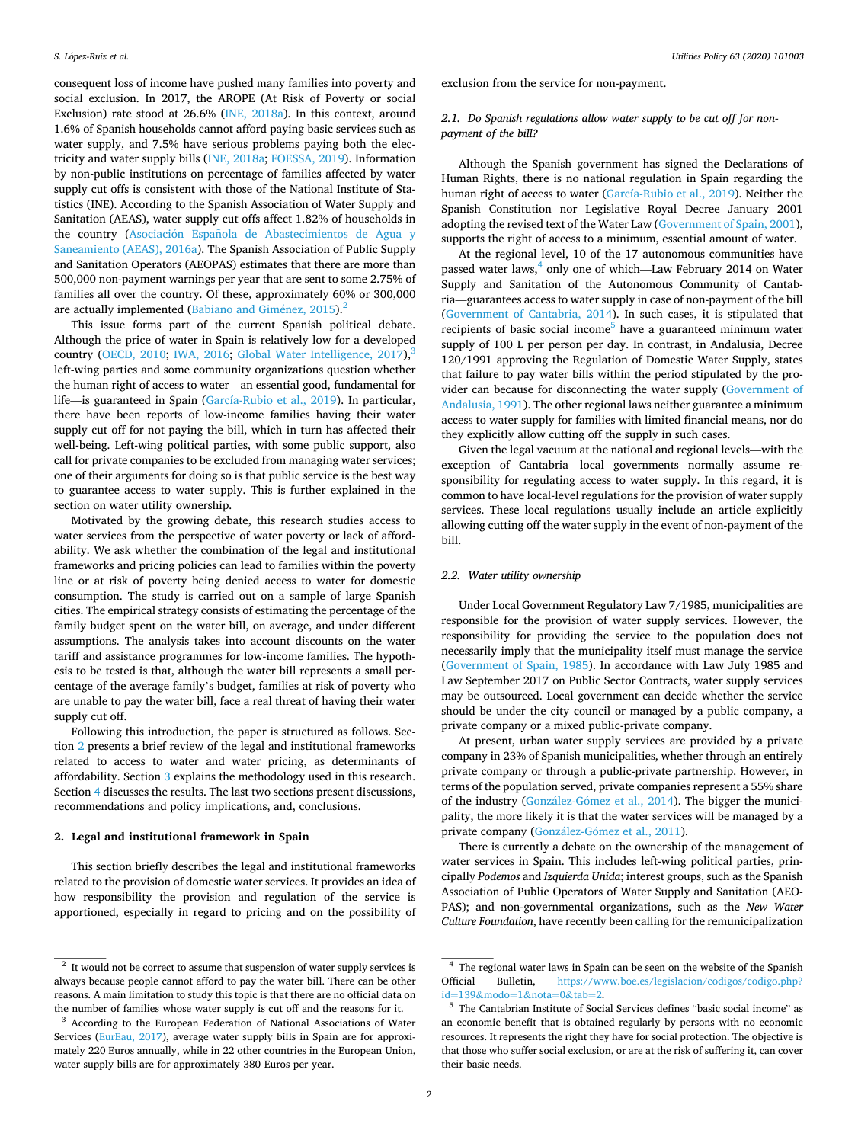<span id="page-1-0"></span>consequent loss of income have pushed many families into poverty and social exclusion. In 2017, the AROPE (At Risk of Poverty or social Exclusion) rate stood at 26.6% [\(INE, 2018a\)](#page-8-0). In this context, around 1.6% of Spanish households cannot afford paying basic services such as water supply, and 7.5% have serious problems paying both the electricity and water supply bills [\(INE, 2018a; FOESSA, 2019](#page-8-0)). Information by non-public institutions on percentage of families affected by water supply cut offs is consistent with those of the National Institute of Statistics (INE). According to the Spanish Association of Water Supply and Sanitation (AEAS), water supply cut offs affect 1.82% of households in the country (Asociación Española de Abastecimientos de Agua y [Saneamiento \(AEAS\), 2016a\)](#page-8-0). The Spanish Association of Public Supply and Sanitation Operators (AEOPAS) estimates that there are more than 500,000 non-payment warnings per year that are sent to some 2.75% of families all over the country. Of these, approximately 60% or 300,000 are actually implemented [\(Babiano and Gim](#page-8-0)énez,  $2015$ ).<sup>2</sup>

This issue forms part of the current Spanish political debate. Although the price of water in Spain is relatively low for a developed country ([OECD, 2010](#page-8-0); [IWA, 2016;](#page-8-0) [Global Water Intelligence, 2017](#page-8-0)),<sup>3</sup> left-wing parties and some community organizations question whether the human right of access to water—an essential good, fundamental for life—is guaranteed in Spain [\(García-Rubio et al., 2019\)](#page-8-0). In particular, there have been reports of low-income families having their water supply cut off for not paying the bill, which in turn has affected their well-being. Left-wing political parties, with some public support, also call for private companies to be excluded from managing water services; one of their arguments for doing so is that public service is the best way to guarantee access to water supply. This is further explained in the section on water utility ownership.

Motivated by the growing debate, this research studies access to water services from the perspective of water poverty or lack of affordability. We ask whether the combination of the legal and institutional frameworks and pricing policies can lead to families within the poverty line or at risk of poverty being denied access to water for domestic consumption. The study is carried out on a sample of large Spanish cities. The empirical strategy consists of estimating the percentage of the family budget spent on the water bill, on average, and under different assumptions. The analysis takes into account discounts on the water tariff and assistance programmes for low-income families. The hypothesis to be tested is that, although the water bill represents a small percentage of the average family's budget, families at risk of poverty who are unable to pay the water bill, face a real threat of having their water supply cut off.

Following this introduction, the paper is structured as follows. Section 2 presents a brief review of the legal and institutional frameworks related to access to water and water pricing, as determinants of affordability. Section [3](#page-2-0) explains the methodology used in this research. Section [4](#page-4-0) discusses the results. The last two sections present discussions, recommendations and policy implications, and, conclusions.

### **2. Legal and institutional framework in Spain**

This section briefly describes the legal and institutional frameworks related to the provision of domestic water services. It provides an idea of how responsibility the provision and regulation of the service is apportioned, especially in regard to pricing and on the possibility of exclusion from the service for non-payment.

# *2.1. Do Spanish regulations allow water supply to be cut off for nonpayment of the bill?*

Although the Spanish government has signed the Declarations of Human Rights, there is no national regulation in Spain regarding the human right of access to water [\(García-Rubio et al., 2019](#page-8-0)). Neither the Spanish Constitution nor Legislative Royal Decree January 2001 adopting the revised text of the Water Law [\(Government of Spain, 2001](#page-8-0)), supports the right of access to a minimum, essential amount of water.

At the regional level, 10 of the 17 autonomous communities have passed water laws, $4 \text{ only one of which}$ —Law February 2014 on Water Supply and Sanitation of the Autonomous Community of Cantabria—guarantees access to water supply in case of non-payment of the bill ([Government of Cantabria, 2014](#page-8-0)). In such cases, it is stipulated that recipients of basic social income<sup>5</sup> have a guaranteed minimum water supply of 100 L per person per day. In contrast, in Andalusia, Decree 120/1991 approving the Regulation of Domestic Water Supply, states that failure to pay water bills within the period stipulated by the provider can because for disconnecting the water supply [\(Government of](#page-8-0)  [Andalusia, 1991\)](#page-8-0). The other regional laws neither guarantee a minimum access to water supply for families with limited financial means, nor do they explicitly allow cutting off the supply in such cases.

Given the legal vacuum at the national and regional levels—with the exception of Cantabria—local governments normally assume responsibility for regulating access to water supply. In this regard, it is common to have local-level regulations for the provision of water supply services. These local regulations usually include an article explicitly allowing cutting off the water supply in the event of non-payment of the bill.

# *2.2. Water utility ownership*

Under Local Government Regulatory Law 7/1985, municipalities are responsible for the provision of water supply services. However, the responsibility for providing the service to the population does not necessarily imply that the municipality itself must manage the service ([Government of Spain, 1985\)](#page-8-0). In accordance with Law July 1985 and Law September 2017 on Public Sector Contracts, water supply services may be outsourced. Local government can decide whether the service should be under the city council or managed by a public company, a private company or a mixed public-private company.

At present, urban water supply services are provided by a private company in 23% of Spanish municipalities, whether through an entirely private company or through a public-private partnership. However, in terms of the population served, private companies represent a 55% share of the industry (González-Gómez [et al., 2014\)](#page-8-0). The bigger the municipality, the more likely it is that the water services will be managed by a private company (González-Gómez et al., 2011).

There is currently a debate on the ownership of the management of water services in Spain. This includes left-wing political parties, principally *Podemos* and *Izquierda Unida*; interest groups, such as the Spanish Association of Public Operators of Water Supply and Sanitation (AEO-PAS); and non-governmental organizations, such as the *New Water Culture Foundation*, have recently been calling for the remunicipalization

 $^{\rm 2}$  It would not be correct to assume that suspension of water supply services is always because people cannot afford to pay the water bill. There can be other reasons. A main limitation to study this topic is that there are no official data on the number of families whose water supply is cut off and the reasons for it. 3 According to the European Federation of National Associations of Water

Services ([EurEau, 2017\)](#page-8-0), average water supply bills in Spain are for approximately 220 Euros annually, while in 22 other countries in the European Union, water supply bills are for approximately 380 Euros per year.

<sup>4</sup> The regional water laws in Spain can be seen on the website of the Spanish Official Bulletin, https://www.boe.es/legislacion/codigos/codigo.php?<br>id=139&modo=1&nota=0&tab=2.

 $5$  The Cantabrian Institute of Social Services defines "basic social income" as an economic benefit that is obtained regularly by persons with no economic resources. It represents the right they have for social protection. The objective is that those who suffer social exclusion, or are at the risk of suffering it, can cover their basic needs.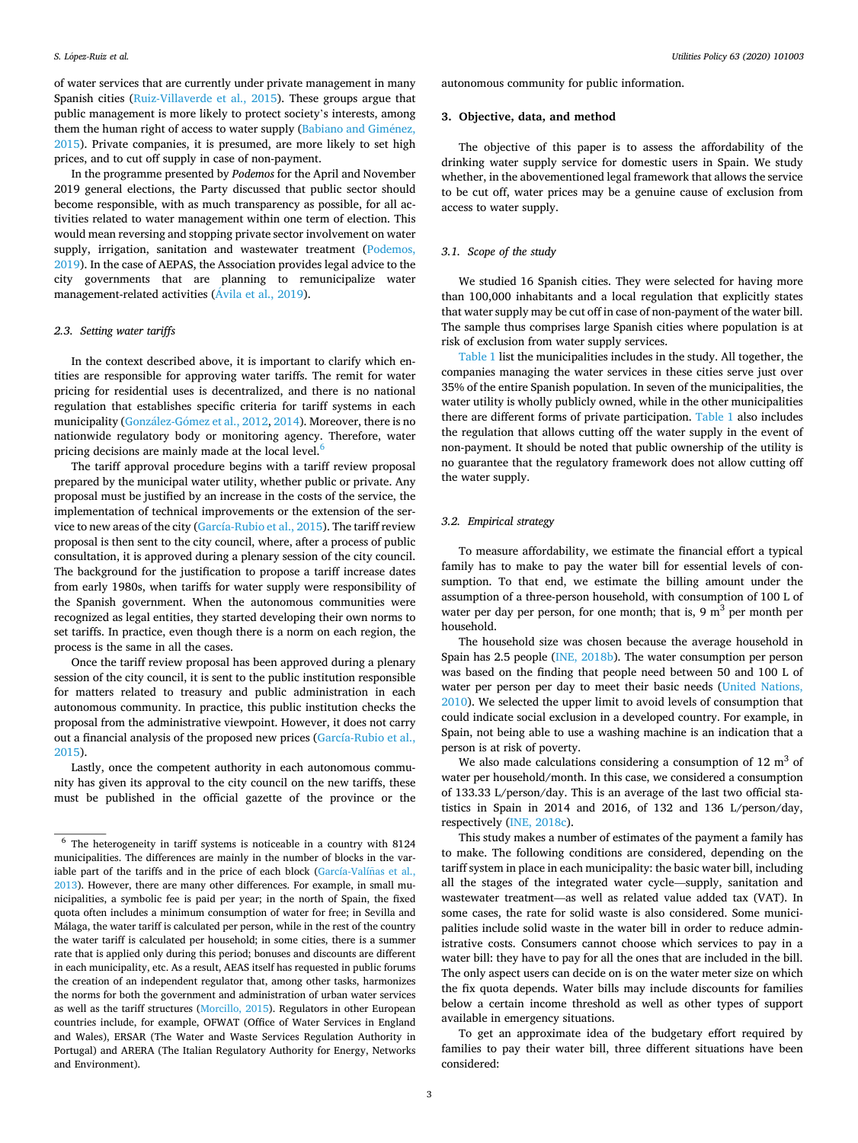<span id="page-2-0"></span>of water services that are currently under private management in many Spanish cities ([Ruiz-Villaverde et al., 2015](#page-8-0)). These groups argue that public management is more likely to protect society's interests, among them the human right of access to water supply ([Babiano and Gim](#page-8-0)énez, [2015\)](#page-8-0). Private companies, it is presumed, are more likely to set high prices, and to cut off supply in case of non-payment.

In the programme presented by *Podemos* for the April and November 2019 general elections, the Party discussed that public sector should become responsible, with as much transparency as possible, for all activities related to water management within one term of election. This would mean reversing and stopping private sector involvement on water supply, irrigation, sanitation and wastewater treatment ([Podemos,](#page-8-0)  [2019\)](#page-8-0). In the case of AEPAS, the Association provides legal advice to the city governments that are planning to remunicipalize water management-related activities (Avila [et al., 2019\)](#page-8-0).

## *2.3. Setting water tariffs*

In the context described above, it is important to clarify which entities are responsible for approving water tariffs. The remit for water pricing for residential uses is decentralized, and there is no national regulation that establishes specific criteria for tariff systems in each municipality (González-Gómez et al., 2012, [2014\)](#page-8-0). Moreover, there is no nationwide regulatory body or monitoring agency. Therefore, water pricing decisions are mainly made at the local level.<sup>6</sup>

The tariff approval procedure begins with a tariff review proposal prepared by the municipal water utility, whether public or private. Any proposal must be justified by an increase in the costs of the service, the implementation of technical improvements or the extension of the service to new areas of the city [\(García-Rubio et al., 2015](#page-8-0)). The tariff review proposal is then sent to the city council, where, after a process of public consultation, it is approved during a plenary session of the city council. The background for the justification to propose a tariff increase dates from early 1980s, when tariffs for water supply were responsibility of the Spanish government. When the autonomous communities were recognized as legal entities, they started developing their own norms to set tariffs. In practice, even though there is a norm on each region, the process is the same in all the cases.

Once the tariff review proposal has been approved during a plenary session of the city council, it is sent to the public institution responsible for matters related to treasury and public administration in each autonomous community. In practice, this public institution checks the proposal from the administrative viewpoint. However, it does not carry out a financial analysis of the proposed new prices [\(García-Rubio et al.,](#page-8-0)  [2015\)](#page-8-0).

Lastly, once the competent authority in each autonomous community has given its approval to the city council on the new tariffs, these must be published in the official gazette of the province or the autonomous community for public information.

#### **3. Objective, data, and method**

The objective of this paper is to assess the affordability of the drinking water supply service for domestic users in Spain. We study whether, in the abovementioned legal framework that allows the service to be cut off, water prices may be a genuine cause of exclusion from access to water supply.

# *3.1. Scope of the study*

We studied 16 Spanish cities. They were selected for having more than 100,000 inhabitants and a local regulation that explicitly states that water supply may be cut off in case of non-payment of the water bill. The sample thus comprises large Spanish cities where population is at risk of exclusion from water supply services.

[Table 1](#page-3-0) list the municipalities includes in the study. All together, the companies managing the water services in these cities serve just over 35% of the entire Spanish population. In seven of the municipalities, the water utility is wholly publicly owned, while in the other municipalities there are different forms of private participation. [Table 1](#page-3-0) also includes the regulation that allows cutting off the water supply in the event of non-payment. It should be noted that public ownership of the utility is no guarantee that the regulatory framework does not allow cutting off the water supply.

## *3.2. Empirical strategy*

To measure affordability, we estimate the financial effort a typical family has to make to pay the water bill for essential levels of consumption. To that end, we estimate the billing amount under the assumption of a three-person household, with consumption of 100 L of water per day per person, for one month; that is,  $9 \text{ m}^3$  per month per household.

The household size was chosen because the average household in Spain has 2.5 people ([INE, 2018b\)](#page-8-0). The water consumption per person was based on the finding that people need between 50 and 100 L of water per person per day to meet their basic needs [\(United Nations,](#page-8-0)  [2010\)](#page-8-0). We selected the upper limit to avoid levels of consumption that could indicate social exclusion in a developed country. For example, in Spain, not being able to use a washing machine is an indication that a person is at risk of poverty.

We also made calculations considering a consumption of 12  $m<sup>3</sup>$  of water per household/month. In this case, we considered a consumption of 133.33 L/person/day. This is an average of the last two official statistics in Spain in 2014 and 2016, of 132 and 136 L/person/day, respectively [\(INE, 2018c](#page-8-0)).

This study makes a number of estimates of the payment a family has to make. The following conditions are considered, depending on the tariff system in place in each municipality: the basic water bill, including all the stages of the integrated water cycle—supply, sanitation and wastewater treatment—as well as related value added tax (VAT). In some cases, the rate for solid waste is also considered. Some municipalities include solid waste in the water bill in order to reduce administrative costs. Consumers cannot choose which services to pay in a water bill: they have to pay for all the ones that are included in the bill. The only aspect users can decide on is on the water meter size on which the fix quota depends. Water bills may include discounts for families below a certain income threshold as well as other types of support available in emergency situations.

To get an approximate idea of the budgetary effort required by families to pay their water bill, three different situations have been considered:

 $6$  The heterogeneity in tariff systems is noticeable in a country with 8124 municipalities. The differences are mainly in the number of blocks in the variable part of the tariffs and in the price of each block (García-Valíñas et al., [2013\)](#page-8-0). However, there are many other differences. For example, in small municipalities, a symbolic fee is paid per year; in the north of Spain, the fixed quota often includes a minimum consumption of water for free; in Sevilla and Málaga, the water tariff is calculated per person, while in the rest of the country the water tariff is calculated per household; in some cities, there is a summer rate that is applied only during this period; bonuses and discounts are different in each municipality, etc. As a result, AEAS itself has requested in public forums the creation of an independent regulator that, among other tasks, harmonizes the norms for both the government and administration of urban water services as well as the tariff structures [\(Morcillo, 2015\)](#page-8-0). Regulators in other European countries include, for example, OFWAT (Office of Water Services in England and Wales), ERSAR (The Water and Waste Services Regulation Authority in Portugal) and ARERA (The Italian Regulatory Authority for Energy, Networks and Environment).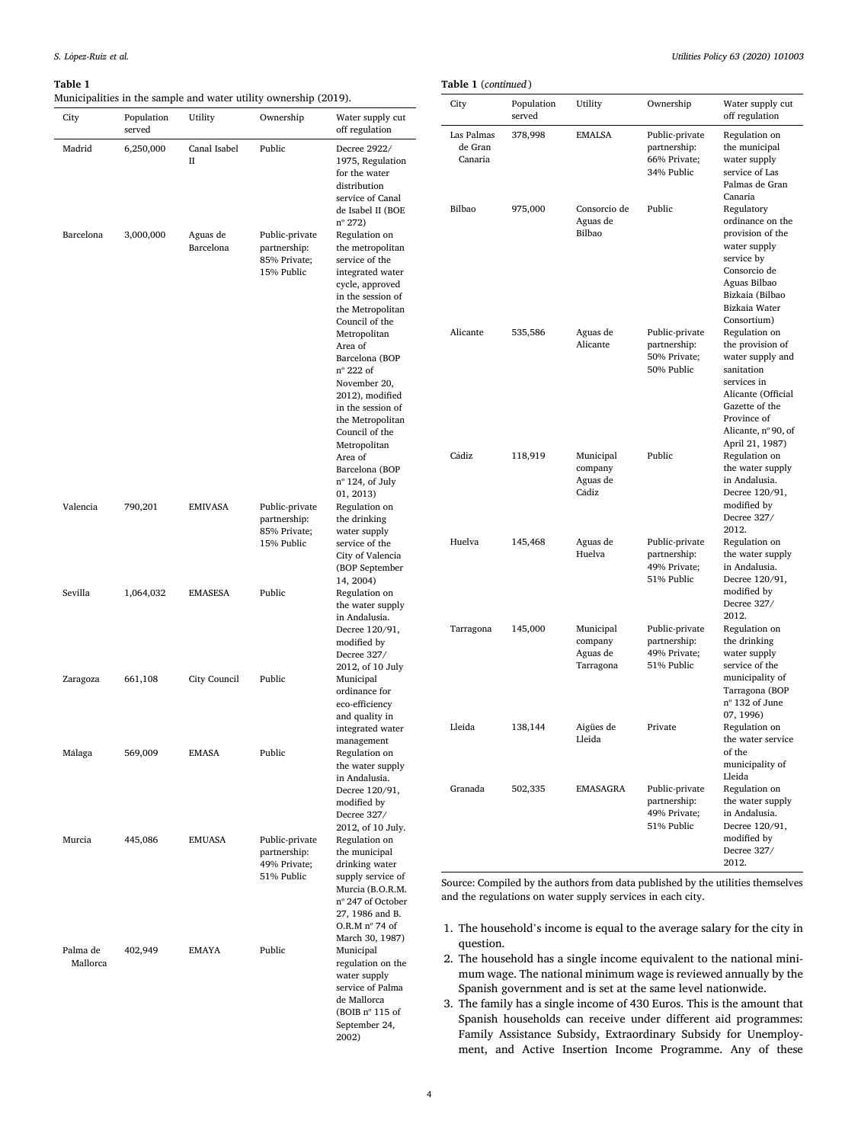City Population served

Madrid 6,250,000 Canal Isabel

Barcelona 3,000,000 Aguas de

#### <span id="page-3-0"></span>**Table 1**

Municipalities in the sample and water utility ownership (2019).

Barcelona

Valencia 790,201 EMIVASA Public-private

Zaragoza 661,108 City Council Public

Murcia 445,086 EMUASA Public-private

Palma de Mallorca

Sevilla 1,064,032 EMASESA Public Regulation on

Málaga 569,009 EMASA Public Regulation on

II

Utility Ownership Water supply cut

Public-private partnership: 85% Private; 15% Public

partnership: 85% Private; 15% Public

partnership: 49% Private; 51% Public

402,949 EMAYA Public Municipal

Public Decree 2922/

off regulation

1975, Regulation for the water distribution service of Canal de Isabel II (BOE nº 272)

Regulation on the metropolitan service of the integrated water cycle, approved in the session of the Metropolitan Council of the Metropolitan Area of Barcelona (BOP nº 222 of November 20, 2012), modified in the session of the Metropolitan Council of the Metropolitan Area of Barcelona (BOP nº 124, of July 01, 2013)

Regulation on the drinking water supply service of the City of Valencia (BOP September 14, 2004)

the water supply in Andalusia. Decree 120/91, modified by Decree 327/ 2012, of 10 July

ordinance for eco-efficiency and quality in integrated water management

the water supply in Andalusia. Decree 120/91, modified by Decree 327/ 2012, of 10 July.

Regulation on the municipal drinking water supply service of Murcia (B.O.R.M. nº 247 of October 27, 1986 and B. O.R.M nº 74 of March 30, 1987)

regulation on the water supply service of Palma de Mallorca (BOIB nº 115 of September 24, 2002)

| City                             | Population<br>served | Utility                                       | Ownership                                                    | Water supply cut<br>off regulation                                                                                                                                                  |
|----------------------------------|----------------------|-----------------------------------------------|--------------------------------------------------------------|-------------------------------------------------------------------------------------------------------------------------------------------------------------------------------------|
| Las Palmas<br>de Gran<br>Canaria | 378,998              | EMALSA                                        | Public-private<br>partnership:<br>66% Private;<br>34% Public | Regulation on<br>the municipal<br>water supply<br>service of Las<br>Palmas de Gran<br>Canaria                                                                                       |
| Bilbao                           | 975,000              | Consorcio de<br>Aguas de<br>Bilbao            | Public                                                       | Regulatory<br>ordinance on the<br>provision of the<br>water supply<br>service by<br>Consorcio de<br>Aguas Bilbao<br>Bizkaia (Bilbao<br>Bizkaia Water<br>Consortium)                 |
| Alicante                         | 535,586              | Aguas de<br>Alicante                          | Public-private<br>partnership:<br>50% Private;<br>50% Public | Regulation on<br>the provision of<br>water supply and<br>sanitation<br>services in<br>Alicante (Official<br>Gazette of the<br>Province of<br>Alicante, nº 90, of<br>April 21, 1987) |
| Cádiz                            | 118,919              | Municipal<br>company<br>Aguas de<br>Cádiz     | Public                                                       | Regulation on<br>the water supply<br>in Andalusia.<br>Decree 120/91,<br>modified by<br>Decree 327/<br>2012.                                                                         |
| Huelva                           | 145,468              | Aguas de<br>Huelva                            | Public-private<br>partnership:<br>49% Private;<br>51% Public | Regulation on<br>the water supply<br>in Andalusia.<br>Decree 120/91,<br>modified by<br>Decree 327/<br>2012.                                                                         |
| Tarragona                        | 145,000              | Municipal<br>company<br>Aguas de<br>Tarragona | Public-private<br>partnership:<br>49% Private;<br>51% Public | Regulation on<br>the drinking<br>water supply<br>service of the<br>municipality of<br>Tarragona (BOP<br>nº 132 of June<br>07, 1996)                                                 |
| Lleida                           | 138,144              | Aigües de<br>Lleida                           | Private                                                      | Regulation on<br>the water service<br>of the<br>municipality of<br>Lleida                                                                                                           |
| Granada                          | 502,335              | EMASAGRA                                      | Public-private<br>partnership:<br>49% Private;<br>51% Public | Regulation on<br>the water supply<br>in Andalusia.<br>Decree 120/91,<br>modified by<br>Decree 327/<br>2012.                                                                         |

Source: Compiled by the authors from data published by the utilities themselves and the regulations on water supply services in each city.

- 1. The household's income is equal to the average salary for the city in question.
- 2. The household has a single income equivalent to the national minimum wage. The national minimum wage is reviewed annually by the Spanish government and is set at the same level nationwide.
- 3. The family has a single income of 430 Euros. This is the amount that Spanish households can receive under different aid programmes: Family Assistance Subsidy, Extraordinary Subsidy for Unemployment, and Active Insertion Income Programme. Any of these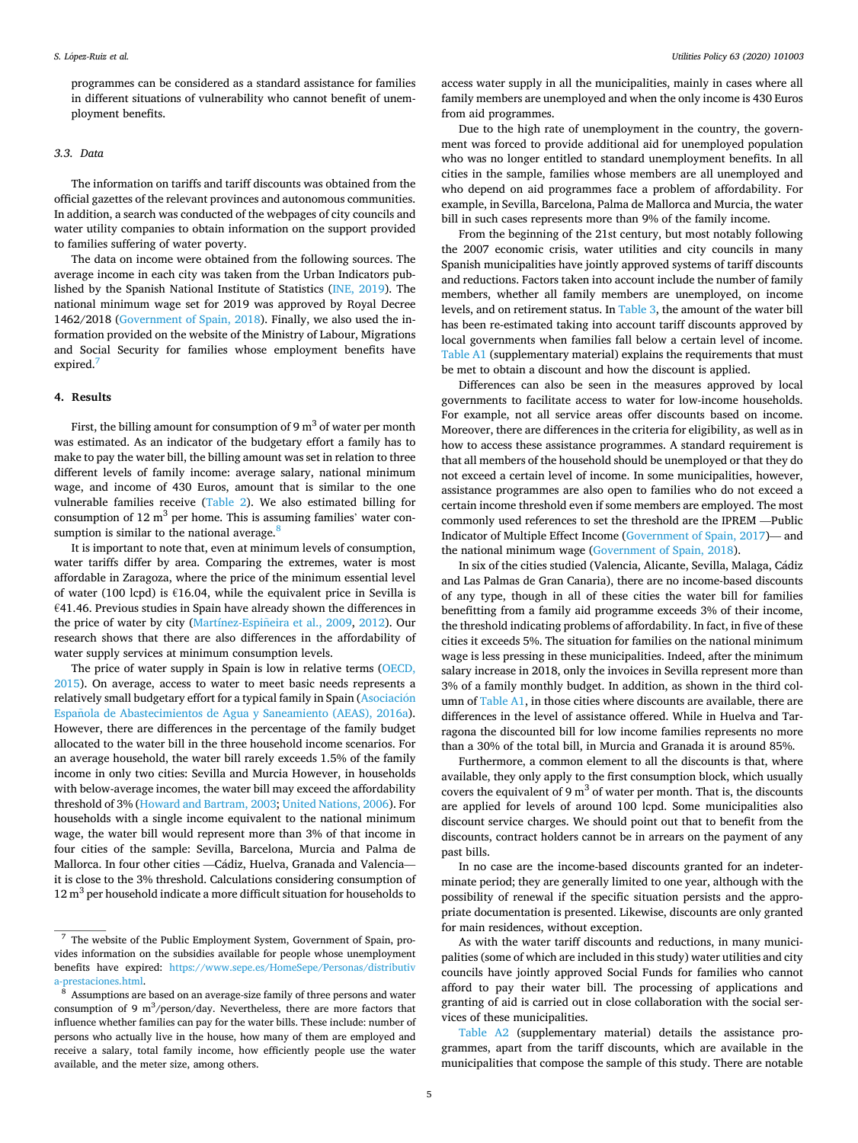<span id="page-4-0"></span>programmes can be considered as a standard assistance for families in different situations of vulnerability who cannot benefit of unemployment benefits.

# *3.3. Data*

The information on tariffs and tariff discounts was obtained from the official gazettes of the relevant provinces and autonomous communities. In addition, a search was conducted of the webpages of city councils and water utility companies to obtain information on the support provided to families suffering of water poverty.

The data on income were obtained from the following sources. The average income in each city was taken from the Urban Indicators published by the Spanish National Institute of Statistics ([INE, 2019](#page-8-0)). The national minimum wage set for 2019 was approved by Royal Decree 1462/2018 ([Government of Spain, 2018\)](#page-8-0). Finally, we also used the information provided on the website of the Ministry of Labour, Migrations and Social Security for families whose employment benefits have expired.<sup>7</sup>

## **4. Results**

First, the billing amount for consumption of 9  $m<sup>3</sup>$  of water per month was estimated. As an indicator of the budgetary effort a family has to make to pay the water bill, the billing amount was set in relation to three different levels of family income: average salary, national minimum wage, and income of 430 Euros, amount that is similar to the one vulnerable families receive [\(Table 2](#page-5-0)). We also estimated billing for consumption of 12  $m<sup>3</sup>$  per home. This is assuming families' water consumption is similar to the national average.<sup>8</sup>

It is important to note that, even at minimum levels of consumption, water tariffs differ by area. Comparing the extremes, water is most affordable in Zaragoza, where the price of the minimum essential level of water (100 lcpd) is  $€16.04$ , while the equivalent price in Sevilla is €41.46. Previous studies in Spain have already shown the differences in the price of water by city (Martínez-Espiñeira et al., 2009, [2012](#page-8-0)). Our research shows that there are also differences in the affordability of water supply services at minimum consumption levels.

The price of water supply in Spain is low in relative terms [\(OECD,](#page-8-0)  [2015\)](#page-8-0). On average, access to water to meet basic needs represents a relatively small budgetary effort for a typical family in Spain (Asociación Española [de Abastecimientos de Agua y Saneamiento \(AEAS\), 2016a](#page-8-0)). However, there are differences in the percentage of the family budget allocated to the water bill in the three household income scenarios. For an average household, the water bill rarely exceeds 1.5% of the family income in only two cities: Sevilla and Murcia However, in households with below-average incomes, the water bill may exceed the affordability threshold of 3% [\(Howard and Bartram, 2003](#page-8-0); [United Nations, 2006](#page-8-0)). For households with a single income equivalent to the national minimum wage, the water bill would represent more than 3% of that income in four cities of the sample: Sevilla, Barcelona, Murcia and Palma de Mallorca. In four other cities - Cádiz, Huelva, Granada and Valenciait is close to the 3% threshold. Calculations considering consumption of  $12 \text{ m}^3$  per household indicate a more difficult situation for households to

access water supply in all the municipalities, mainly in cases where all family members are unemployed and when the only income is 430 Euros from aid programmes.

Due to the high rate of unemployment in the country, the government was forced to provide additional aid for unemployed population who was no longer entitled to standard unemployment benefits. In all cities in the sample, families whose members are all unemployed and who depend on aid programmes face a problem of affordability. For example, in Sevilla, Barcelona, Palma de Mallorca and Murcia, the water bill in such cases represents more than 9% of the family income.

From the beginning of the 21st century, but most notably following the 2007 economic crisis, water utilities and city councils in many Spanish municipalities have jointly approved systems of tariff discounts and reductions. Factors taken into account include the number of family members, whether all family members are unemployed, on income levels, and on retirement status. In [Table 3,](#page-5-0) the amount of the water bill has been re-estimated taking into account tariff discounts approved by local governments when families fall below a certain level of income. Table A1 (supplementary material) explains the requirements that must be met to obtain a discount and how the discount is applied.

Differences can also be seen in the measures approved by local governments to facilitate access to water for low-income households. For example, not all service areas offer discounts based on income. Moreover, there are differences in the criteria for eligibility, as well as in how to access these assistance programmes. A standard requirement is that all members of the household should be unemployed or that they do not exceed a certain level of income. In some municipalities, however, assistance programmes are also open to families who do not exceed a certain income threshold even if some members are employed. The most commonly used references to set the threshold are the IPREM —Public Indicator of Multiple Effect Income ([Government of Spain, 2017](#page-8-0))— and the national minimum wage ([Government of Spain, 2018](#page-8-0)).

In six of the cities studied (Valencia, Alicante, Sevilla, Malaga, Cádiz and Las Palmas de Gran Canaria), there are no income-based discounts of any type, though in all of these cities the water bill for families benefitting from a family aid programme exceeds 3% of their income, the threshold indicating problems of affordability. In fact, in five of these cities it exceeds 5%. The situation for families on the national minimum wage is less pressing in these municipalities. Indeed, after the minimum salary increase in 2018, only the invoices in Sevilla represent more than 3% of a family monthly budget. In addition, as shown in the third column of Table A1, in those cities where discounts are available, there are differences in the level of assistance offered. While in Huelva and Tarragona the discounted bill for low income families represents no more than a 30% of the total bill, in Murcia and Granada it is around 85%.

Furthermore, a common element to all the discounts is that, where available, they only apply to the first consumption block, which usually covers the equivalent of 9  $m<sup>3</sup>$  of water per month. That is, the discounts are applied for levels of around 100 lcpd. Some municipalities also discount service charges. We should point out that to benefit from the discounts, contract holders cannot be in arrears on the payment of any past bills.

In no case are the income-based discounts granted for an indeterminate period; they are generally limited to one year, although with the possibility of renewal if the specific situation persists and the appropriate documentation is presented. Likewise, discounts are only granted for main residences, without exception.

As with the water tariff discounts and reductions, in many municipalities (some of which are included in this study) water utilities and city councils have jointly approved Social Funds for families who cannot afford to pay their water bill. The processing of applications and granting of aid is carried out in close collaboration with the social services of these municipalities.

Table A2 (supplementary material) details the assistance programmes, apart from the tariff discounts, which are available in the municipalities that compose the sample of this study. There are notable

<sup>7</sup> The website of the Public Employment System, Government of Spain, provides information on the subsidies available for people whose unemployment benefits have expired: [https://www.sepe.es/HomeSepe/Personas/distributiv](https://www.sepe.es/HomeSepe/Personas/distributiva-prestaciones.html)  [a-prestaciones.html](https://www.sepe.es/HomeSepe/Personas/distributiva-prestaciones.html). 8 Assumptions are based on an average-size family of three persons and water

consumption of 9  $m^3$ /person/day. Nevertheless, there are more factors that influence whether families can pay for the water bills. These include: number of persons who actually live in the house, how many of them are employed and receive a salary, total family income, how efficiently people use the water available, and the meter size, among others.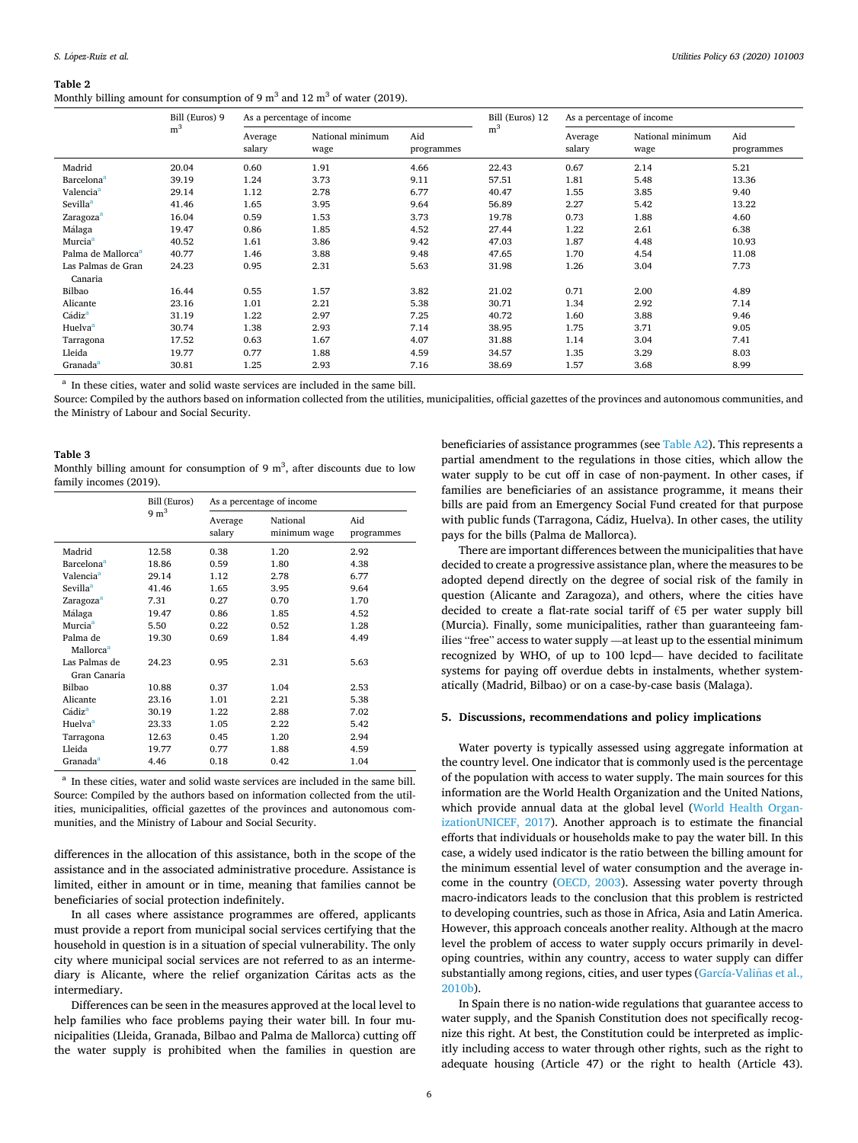#### <span id="page-5-0"></span>**Table 2**

Monthly billing amount for consumption of 9  $m<sup>3</sup>$  and 12  $m<sup>3</sup>$  of water (2019).

|                                | Bill (Euros) 9 | As a percentage of income |                          | Bill (Euros) 12   | As a percentage of income |                   |                          |                   |
|--------------------------------|----------------|---------------------------|--------------------------|-------------------|---------------------------|-------------------|--------------------------|-------------------|
|                                | m <sup>3</sup> | Average<br>salary         | National minimum<br>wage | Aid<br>programmes | m <sup>3</sup>            | Average<br>salary | National minimum<br>wage | Aid<br>programmes |
| Madrid                         | 20.04          | 0.60                      | 1.91                     | 4.66              | 22.43                     | 0.67              | 2.14                     | 5.21              |
| Barcelona <sup>a</sup>         | 39.19          | 1.24                      | 3.73                     | 9.11              | 57.51                     | 1.81              | 5.48                     | 13.36             |
| Valencia <sup>a</sup>          | 29.14          | 1.12                      | 2.78                     | 6.77              | 40.47                     | 1.55              | 3.85                     | 9.40              |
| Sevilla <sup>a</sup>           | 41.46          | 1.65                      | 3.95                     | 9.64              | 56.89                     | 2.27              | 5.42                     | 13.22             |
| Zaragoza <sup>a</sup>          | 16.04          | 0.59                      | 1.53                     | 3.73              | 19.78                     | 0.73              | 1.88                     | 4.60              |
| Málaga                         | 19.47          | 0.86                      | 1.85                     | 4.52              | 27.44                     | 1.22              | 2.61                     | 6.38              |
| Murcia <sup>a</sup>            | 40.52          | 1.61                      | 3.86                     | 9.42              | 47.03                     | 1.87              | 4.48                     | 10.93             |
| Palma de Mallorca <sup>a</sup> | 40.77          | 1.46                      | 3.88                     | 9.48              | 47.65                     | 1.70              | 4.54                     | 11.08             |
| Las Palmas de Gran<br>Canaria  | 24.23          | 0.95                      | 2.31                     | 5.63              | 31.98                     | 1.26              | 3.04                     | 7.73              |
| Bilbao                         | 16.44          | 0.55                      | 1.57                     | 3.82              | 21.02                     | 0.71              | 2.00                     | 4.89              |
| Alicante                       | 23.16          | 1.01                      | 2.21                     | 5.38              | 30.71                     | 1.34              | 2.92                     | 7.14              |
| Cádiz <sup>a</sup>             | 31.19          | 1.22                      | 2.97                     | 7.25              | 40.72                     | 1.60              | 3.88                     | 9.46              |
| Huelva <sup>a</sup>            | 30.74          | 1.38                      | 2.93                     | 7.14              | 38.95                     | 1.75              | 3.71                     | 9.05              |
| Tarragona                      | 17.52          | 0.63                      | 1.67                     | 4.07              | 31.88                     | 1.14              | 3.04                     | 7.41              |
| Lleida                         | 19.77          | 0.77                      | 1.88                     | 4.59              | 34.57                     | 1.35              | 3.29                     | 8.03              |
| Granada <sup>a</sup>           | 30.81          | 1.25                      | 2.93                     | 7.16              | 38.69                     | 1.57              | 3.68                     | 8.99              |

<sup>a</sup> In these cities, water and solid waste services are included in the same bill.

Source: Compiled by the authors based on information collected from the utilities, municipalities, official gazettes of the provinces and autonomous communities, and the Ministry of Labour and Social Security.

## **Table 3**  Monthly billing amount for consumption of  $9 \text{ m}^3$ , after discounts due to low family incomes (2019).

|  |                                   | Bill (Euros)    | As a percentage of income |                          |                   |  |
|--|-----------------------------------|-----------------|---------------------------|--------------------------|-------------------|--|
|  |                                   | $9 \text{ m}^3$ | Average<br>salary         | National<br>minimum wage | Aid<br>programmes |  |
|  | Madrid                            | 12.58           | 0.38                      | 1.20                     | 2.92              |  |
|  | <b>Barcelona</b> <sup>a</sup>     | 18.86           | 0.59                      | 1.80                     | 4.38              |  |
|  | Valencia <sup>a</sup>             | 29.14           | 1.12                      | 2.78                     | 6.77              |  |
|  | Sevilla <sup>a</sup>              | 41.46           | 1.65                      | 3.95                     | 9.64              |  |
|  | Zaragoza <sup>a</sup>             | 7.31            | 0.27                      | 0.70                     | 1.70              |  |
|  | Málaga                            | 19.47           | 0.86                      | 1.85                     | 4.52              |  |
|  | Murcia <sup>a</sup>               | 5.50            | 0.22                      | 0.52                     | 1.28              |  |
|  | Palma de<br>Mallorca <sup>a</sup> | 19.30           | 0.69                      | 1.84                     | 4.49              |  |
|  | Las Palmas de<br>Gran Canaria     | 24.23           | 0.95                      | 2.31                     | 5.63              |  |
|  | Bilbao                            | 10.88           | 0.37                      | 1.04                     | 2.53              |  |
|  | Alicante                          | 23.16           | 1.01                      | 2.21                     | 5.38              |  |
|  | Cádiz <sup>a</sup>                | 30.19           | 1.22                      | 2.88                     | 7.02              |  |
|  | Huelva <sup>a</sup>               | 23.33           | 1.05                      | 2.22                     | 5.42              |  |
|  | Tarragona                         | 12.63           | 0.45                      | 1.20                     | 2.94              |  |
|  | Lleida                            | 19.77           | 0.77                      | 1.88                     | 4.59              |  |
|  | Granada <sup>a</sup>              | 4.46            | 0.18                      | 0.42                     | 1.04              |  |
|  |                                   |                 |                           |                          |                   |  |

<sup>a</sup> In these cities, water and solid waste services are included in the same bill. Source: Compiled by the authors based on information collected from the utilities, municipalities, official gazettes of the provinces and autonomous communities, and the Ministry of Labour and Social Security.

differences in the allocation of this assistance, both in the scope of the assistance and in the associated administrative procedure. Assistance is limited, either in amount or in time, meaning that families cannot be beneficiaries of social protection indefinitely.

In all cases where assistance programmes are offered, applicants must provide a report from municipal social services certifying that the household in question is in a situation of special vulnerability. The only city where municipal social services are not referred to as an intermediary is Alicante, where the relief organization Cáritas acts as the intermediary.

Differences can be seen in the measures approved at the local level to help families who face problems paying their water bill. In four municipalities (Lleida, Granada, Bilbao and Palma de Mallorca) cutting off the water supply is prohibited when the families in question are beneficiaries of assistance programmes (see Table A2). This represents a partial amendment to the regulations in those cities, which allow the water supply to be cut off in case of non-payment. In other cases, if families are beneficiaries of an assistance programme, it means their bills are paid from an Emergency Social Fund created for that purpose with public funds (Tarragona, Cádiz, Huelva). In other cases, the utility pays for the bills (Palma de Mallorca).

There are important differences between the municipalities that have decided to create a progressive assistance plan, where the measures to be adopted depend directly on the degree of social risk of the family in question (Alicante and Zaragoza), and others, where the cities have decided to create a flat-rate social tariff of €5 per water supply bill (Murcia). Finally, some municipalities, rather than guaranteeing families "free" access to water supply —at least up to the essential minimum recognized by WHO, of up to 100 lcpd— have decided to facilitate systems for paying off overdue debts in instalments, whether systematically (Madrid, Bilbao) or on a case-by-case basis (Malaga).

## **5. Discussions, recommendations and policy implications**

Water poverty is typically assessed using aggregate information at the country level. One indicator that is commonly used is the percentage of the population with access to water supply. The main sources for this information are the World Health Organization and the United Nations, which provide annual data at the global level [\(World Health Organ](#page-8-0)[izationUNICEF, 2017](#page-8-0)). Another approach is to estimate the financial efforts that individuals or households make to pay the water bill. In this case, a widely used indicator is the ratio between the billing amount for the minimum essential level of water consumption and the average income in the country ([OECD, 2003](#page-8-0)). Assessing water poverty through macro-indicators leads to the conclusion that this problem is restricted to developing countries, such as those in Africa, Asia and Latin America. However, this approach conceals another reality. Although at the macro level the problem of access to water supply occurs primarily in developing countries, within any country, access to water supply can differ substantially among regions, cities, and user types (García-Valiñas et al., [2010b\)](#page-8-0).

In Spain there is no nation-wide regulations that guarantee access to water supply, and the Spanish Constitution does not specifically recognize this right. At best, the Constitution could be interpreted as implicitly including access to water through other rights, such as the right to adequate housing (Article 47) or the right to health (Article 43).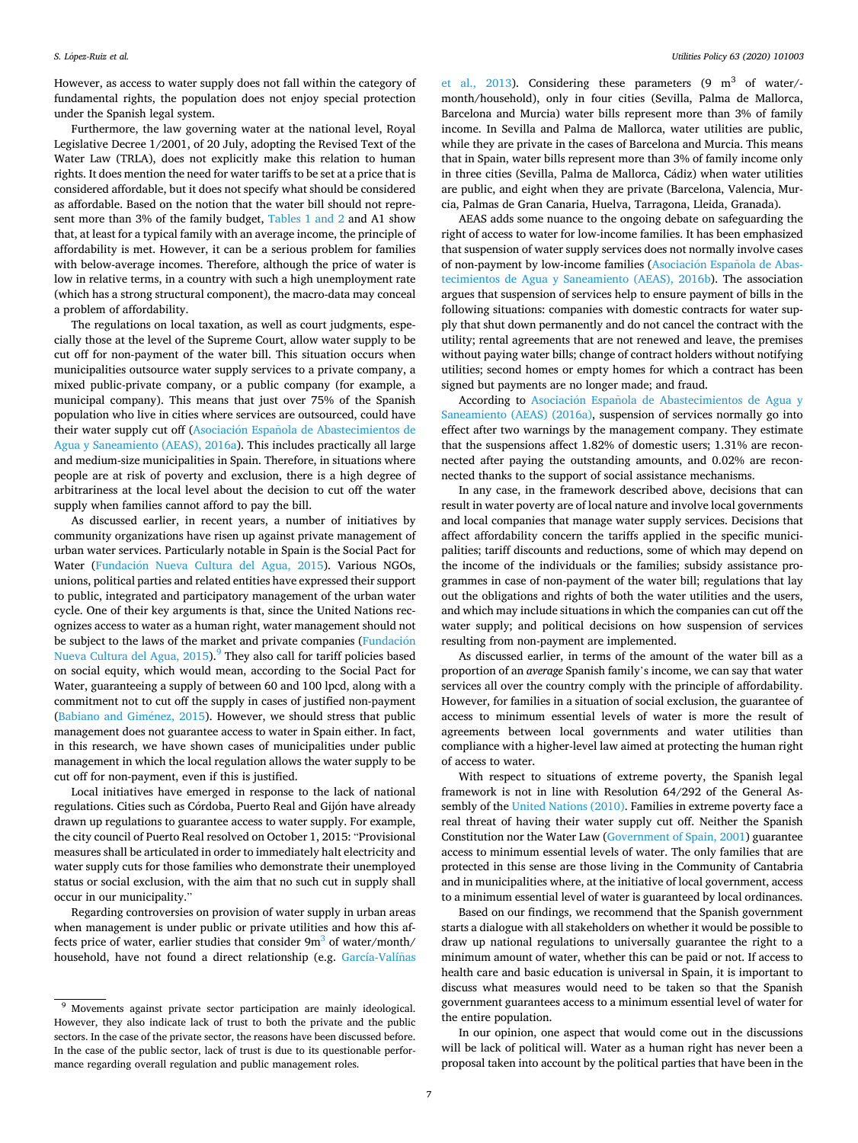However, as access to water supply does not fall within the category of fundamental rights, the population does not enjoy special protection under the Spanish legal system.

Furthermore, the law governing water at the national level, Royal Legislative Decree 1/2001, of 20 July, adopting the Revised Text of the Water Law (TRLA), does not explicitly make this relation to human rights. It does mention the need for water tariffs to be set at a price that is considered affordable, but it does not specify what should be considered as affordable. Based on the notion that the water bill should not represent more than 3% of the family budget, [Tables 1 and 2](#page-3-0) and A1 show that, at least for a typical family with an average income, the principle of affordability is met. However, it can be a serious problem for families with below-average incomes. Therefore, although the price of water is low in relative terms, in a country with such a high unemployment rate (which has a strong structural component), the macro-data may conceal a problem of affordability.

The regulations on local taxation, as well as court judgments, especially those at the level of the Supreme Court, allow water supply to be cut off for non-payment of the water bill. This situation occurs when municipalities outsource water supply services to a private company, a mixed public-private company, or a public company (for example, a municipal company). This means that just over 75% of the Spanish population who live in cities where services are outsourced, could have their water supply cut off (Asociación Española de Abastecimientos de [Agua y Saneamiento \(AEAS\), 2016a](#page-8-0)). This includes practically all large and medium-size municipalities in Spain. Therefore, in situations where people are at risk of poverty and exclusion, there is a high degree of arbitrariness at the local level about the decision to cut off the water supply when families cannot afford to pay the bill.

As discussed earlier, in recent years, a number of initiatives by community organizations have risen up against private management of urban water services. Particularly notable in Spain is the Social Pact for Water (Fundación [Nueva Cultura del Agua, 2015\)](#page-8-0). Various NGOs, unions, political parties and related entities have expressed their support to public, integrated and participatory management of the urban water cycle. One of their key arguments is that, since the United Nations recognizes access to water as a human right, water management should not be subject to the laws of the market and private companies (Fundación [Nueva Cultura del Agua, 2015](#page-8-0)).<sup>9</sup> They also call for tariff policies based on social equity, which would mean, according to the Social Pact for Water, guaranteeing a supply of between 60 and 100 lpcd, along with a commitment not to cut off the supply in cases of justified non-payment ([Babiano and Gim](#page-8-0)énez, 2015). However, we should stress that public management does not guarantee access to water in Spain either. In fact, in this research, we have shown cases of municipalities under public management in which the local regulation allows the water supply to be cut off for non-payment, even if this is justified.

Local initiatives have emerged in response to the lack of national regulations. Cities such as Córdoba, Puerto Real and Gijón have already drawn up regulations to guarantee access to water supply. For example, the city council of Puerto Real resolved on October 1, 2015: "Provisional measures shall be articulated in order to immediately halt electricity and water supply cuts for those families who demonstrate their unemployed status or social exclusion, with the aim that no such cut in supply shall occur in our municipality."

Regarding controversies on provision of water supply in urban areas when management is under public or private utilities and how this affects price of water, earlier studies that consider  $9m<sup>3</sup>$  of water/month/ household, have not found a direct relationship (e.g. García-Valíñas [et al., 2013](#page-8-0)). Considering these parameters  $(9 \text{ m}^3 \text{ of water}/\text{-}$ month/household), only in four cities (Sevilla, Palma de Mallorca, Barcelona and Murcia) water bills represent more than 3% of family income. In Sevilla and Palma de Mallorca, water utilities are public, while they are private in the cases of Barcelona and Murcia. This means that in Spain, water bills represent more than 3% of family income only in three cities (Sevilla, Palma de Mallorca, Cádiz) when water utilities are public, and eight when they are private (Barcelona, Valencia, Murcia, Palmas de Gran Canaria, Huelva, Tarragona, Lleida, Granada).

AEAS adds some nuance to the ongoing debate on safeguarding the right of access to water for low-income families. It has been emphasized that suspension of water supply services does not normally involve cases of non-payment by low-income families (Asociación Española de Abas[tecimientos de Agua y Saneamiento \(AEAS\), 2016b\)](#page-8-0). The association argues that suspension of services help to ensure payment of bills in the following situations: companies with domestic contracts for water supply that shut down permanently and do not cancel the contract with the utility; rental agreements that are not renewed and leave, the premises without paying water bills; change of contract holders without notifying utilities; second homes or empty homes for which a contract has been signed but payments are no longer made; and fraud.

According to Asociación Española de Abastecimientos de Agua y [Saneamiento \(AEAS\) \(2016a\)](#page-8-0), suspension of services normally go into effect after two warnings by the management company. They estimate that the suspensions affect 1.82% of domestic users; 1.31% are reconnected after paying the outstanding amounts, and 0.02% are reconnected thanks to the support of social assistance mechanisms.

In any case, in the framework described above, decisions that can result in water poverty are of local nature and involve local governments and local companies that manage water supply services. Decisions that affect affordability concern the tariffs applied in the specific municipalities; tariff discounts and reductions, some of which may depend on the income of the individuals or the families; subsidy assistance programmes in case of non-payment of the water bill; regulations that lay out the obligations and rights of both the water utilities and the users, and which may include situations in which the companies can cut off the water supply; and political decisions on how suspension of services resulting from non-payment are implemented.

As discussed earlier, in terms of the amount of the water bill as a proportion of an *average* Spanish family's income, we can say that water services all over the country comply with the principle of affordability. However, for families in a situation of social exclusion, the guarantee of access to minimum essential levels of water is more the result of agreements between local governments and water utilities than compliance with a higher-level law aimed at protecting the human right of access to water.

With respect to situations of extreme poverty, the Spanish legal framework is not in line with Resolution 64/292 of the General Assembly of the [United Nations \(2010\).](#page-8-0) Families in extreme poverty face a real threat of having their water supply cut off. Neither the Spanish Constitution nor the Water Law ([Government of Spain, 2001\)](#page-8-0) guarantee access to minimum essential levels of water. The only families that are protected in this sense are those living in the Community of Cantabria and in municipalities where, at the initiative of local government, access to a minimum essential level of water is guaranteed by local ordinances.

Based on our findings, we recommend that the Spanish government starts a dialogue with all stakeholders on whether it would be possible to draw up national regulations to universally guarantee the right to a minimum amount of water, whether this can be paid or not. If access to health care and basic education is universal in Spain, it is important to discuss what measures would need to be taken so that the Spanish government guarantees access to a minimum essential level of water for the entire population.

In our opinion, one aspect that would come out in the discussions will be lack of political will. Water as a human right has never been a proposal taken into account by the political parties that have been in the

<sup>&</sup>lt;sup>9</sup> Movements against private sector participation are mainly ideological. However, they also indicate lack of trust to both the private and the public sectors. In the case of the private sector, the reasons have been discussed before. In the case of the public sector, lack of trust is due to its questionable performance regarding overall regulation and public management roles.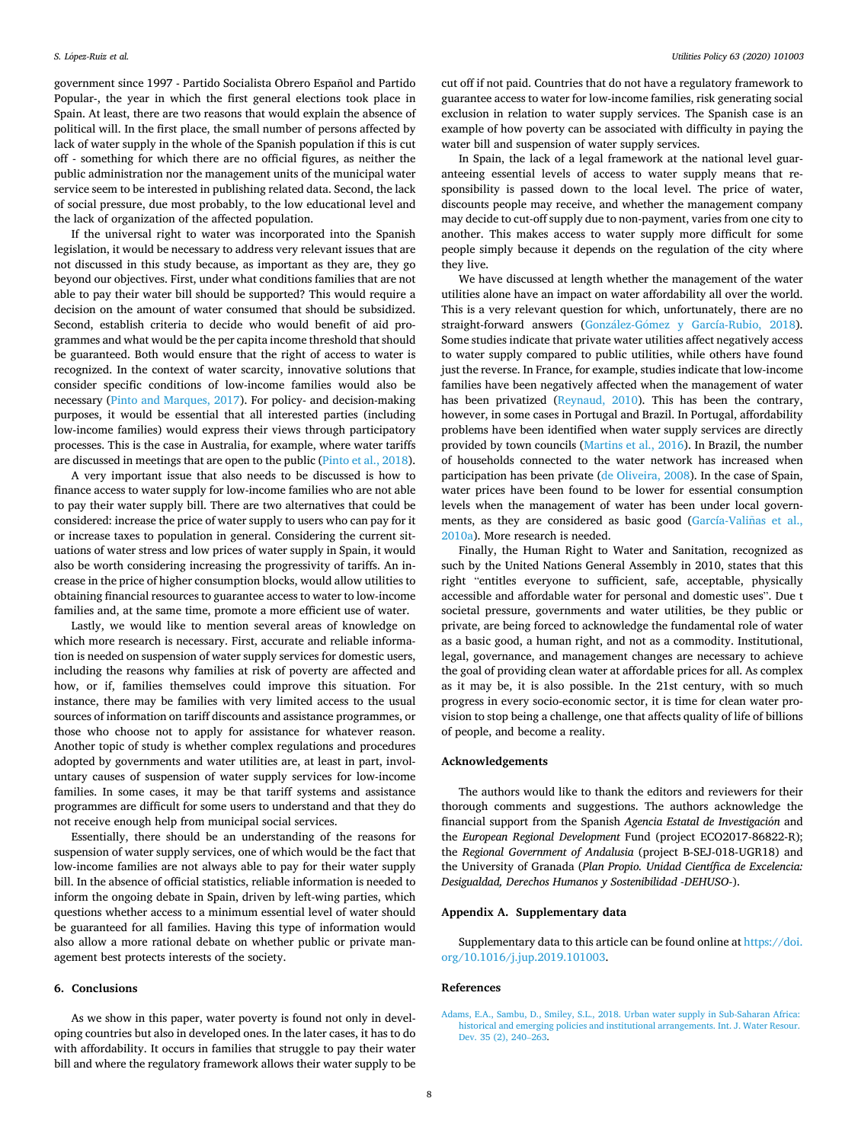<span id="page-7-0"></span>government since 1997 - Partido Socialista Obrero Español and Partido Popular-, the year in which the first general elections took place in Spain. At least, there are two reasons that would explain the absence of political will. In the first place, the small number of persons affected by lack of water supply in the whole of the Spanish population if this is cut off - something for which there are no official figures, as neither the public administration nor the management units of the municipal water service seem to be interested in publishing related data. Second, the lack of social pressure, due most probably, to the low educational level and the lack of organization of the affected population.

If the universal right to water was incorporated into the Spanish legislation, it would be necessary to address very relevant issues that are not discussed in this study because, as important as they are, they go beyond our objectives. First, under what conditions families that are not able to pay their water bill should be supported? This would require a decision on the amount of water consumed that should be subsidized. Second, establish criteria to decide who would benefit of aid programmes and what would be the per capita income threshold that should be guaranteed. Both would ensure that the right of access to water is recognized. In the context of water scarcity, innovative solutions that consider specific conditions of low-income families would also be necessary ([Pinto and Marques, 2017\)](#page-8-0). For policy- and decision-making purposes, it would be essential that all interested parties (including low-income families) would express their views through participatory processes. This is the case in Australia, for example, where water tariffs are discussed in meetings that are open to the public ([Pinto et al., 2018](#page-8-0)).

A very important issue that also needs to be discussed is how to finance access to water supply for low-income families who are not able to pay their water supply bill. There are two alternatives that could be considered: increase the price of water supply to users who can pay for it or increase taxes to population in general. Considering the current situations of water stress and low prices of water supply in Spain, it would also be worth considering increasing the progressivity of tariffs. An increase in the price of higher consumption blocks, would allow utilities to obtaining financial resources to guarantee access to water to low-income families and, at the same time, promote a more efficient use of water.

Lastly, we would like to mention several areas of knowledge on which more research is necessary. First, accurate and reliable information is needed on suspension of water supply services for domestic users, including the reasons why families at risk of poverty are affected and how, or if, families themselves could improve this situation. For instance, there may be families with very limited access to the usual sources of information on tariff discounts and assistance programmes, or those who choose not to apply for assistance for whatever reason. Another topic of study is whether complex regulations and procedures adopted by governments and water utilities are, at least in part, involuntary causes of suspension of water supply services for low-income families. In some cases, it may be that tariff systems and assistance programmes are difficult for some users to understand and that they do not receive enough help from municipal social services.

Essentially, there should be an understanding of the reasons for suspension of water supply services, one of which would be the fact that low-income families are not always able to pay for their water supply bill. In the absence of official statistics, reliable information is needed to inform the ongoing debate in Spain, driven by left-wing parties, which questions whether access to a minimum essential level of water should be guaranteed for all families. Having this type of information would also allow a more rational debate on whether public or private management best protects interests of the society.

## **6. Conclusions**

As we show in this paper, water poverty is found not only in developing countries but also in developed ones. In the later cases, it has to do with affordability. It occurs in families that struggle to pay their water bill and where the regulatory framework allows their water supply to be cut off if not paid. Countries that do not have a regulatory framework to guarantee access to water for low-income families, risk generating social exclusion in relation to water supply services. The Spanish case is an example of how poverty can be associated with difficulty in paying the water bill and suspension of water supply services.

In Spain, the lack of a legal framework at the national level guaranteeing essential levels of access to water supply means that responsibility is passed down to the local level. The price of water, discounts people may receive, and whether the management company may decide to cut-off supply due to non-payment, varies from one city to another. This makes access to water supply more difficult for some people simply because it depends on the regulation of the city where they live.

We have discussed at length whether the management of the water utilities alone have an impact on water affordability all over the world. This is a very relevant question for which, unfortunately, there are no straight-forward answers (González-Gómez [y García-Rubio, 2018](#page-8-0)). Some studies indicate that private water utilities affect negatively access to water supply compared to public utilities, while others have found just the reverse. In France, for example, studies indicate that low-income families have been negatively affected when the management of water has been privatized [\(Reynaud, 2010\)](#page-8-0). This has been the contrary, however, in some cases in Portugal and Brazil. In Portugal, affordability problems have been identified when water supply services are directly provided by town councils ([Martins et al., 2016\)](#page-8-0). In Brazil, the number of households connected to the water network has increased when participation has been private ([de Oliveira, 2008](#page-8-0)). In the case of Spain, water prices have been found to be lower for essential consumption levels when the management of water has been under local governments, as they are considered as basic good (García-Valiñas et al., [2010a\)](#page-8-0). More research is needed.

Finally, the Human Right to Water and Sanitation, recognized as such by the United Nations General Assembly in 2010, states that this right "entitles everyone to sufficient, safe, acceptable, physically accessible and affordable water for personal and domestic uses". Due t societal pressure, governments and water utilities, be they public or private, are being forced to acknowledge the fundamental role of water as a basic good, a human right, and not as a commodity. Institutional, legal, governance, and management changes are necessary to achieve the goal of providing clean water at affordable prices for all. As complex as it may be, it is also possible. In the 21st century, with so much progress in every socio-economic sector, it is time for clean water provision to stop being a challenge, one that affects quality of life of billions of people, and become a reality.

## **Acknowledgements**

The authors would like to thank the editors and reviewers for their thorough comments and suggestions. The authors acknowledge the financial support from the Spanish Agencia Estatal de Investigación and the *European Regional Development* Fund (project ECO2017-86822-R); the *Regional Government of Andalusia* (project B-SEJ-018-UGR18) and the University of Granada (*Plan Propio. Unidad Científica de Excelencia: Desigualdad, Derechos Humanos y Sostenibilidad -DEHUSO-*).

## **Appendix A. Supplementary data**

Supplementary data to this article can be found online at [https://doi.](https://doi.org/10.1016/j.jup.2019.101003)  [org/10.1016/j.jup.2019.101003](https://doi.org/10.1016/j.jup.2019.101003).

## **References**

[Adams, E.A., Sambu, D., Smiley, S.L., 2018. Urban water supply in Sub-Saharan Africa:](http://refhub.elsevier.com/S0957-1787(19)30356-X/sref1)  [historical and emerging policies and institutional arrangements. Int. J. Water Resour.](http://refhub.elsevier.com/S0957-1787(19)30356-X/sref1)  [Dev. 35 \(2\), 240](http://refhub.elsevier.com/S0957-1787(19)30356-X/sref1)–263.